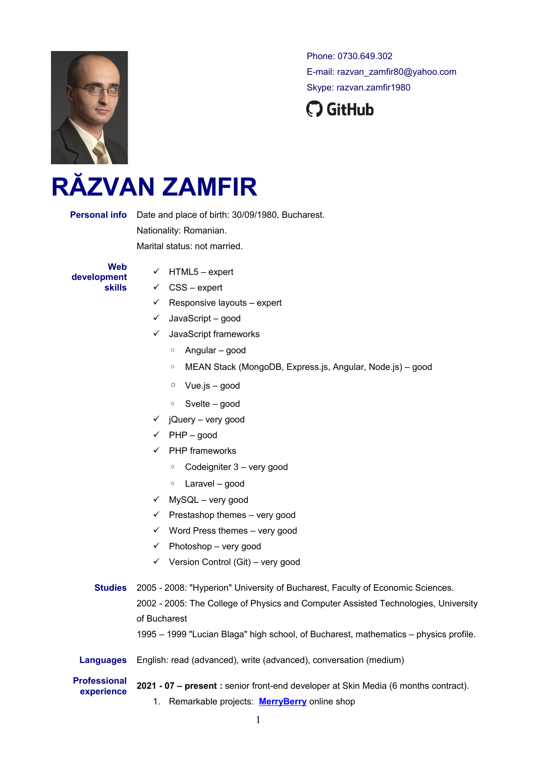

Phone: 0730.649.302 E-mail: razvan\_zamfir80@yahoo.com Skype: razvan.zamfir1980



## **RĂZVAN ZAMFIR**

**Personal info** Date and place of birth: 30/09/1980, Bucharest. Nationality: Romanian. Marital status: not married.

**Web development skills**

- $\checkmark$  HTML5 expert
- $\checkmark$  CSS expert
- $\checkmark$  Responsive layouts expert
- $\checkmark$  JavaScript good
- $\checkmark$  JavaScript frameworks
	- Angular good
	- MEAN Stack (MongoDB, Express.js, Angular, Node.js) good
	- Vue.js good
	- Svelte good
- $\checkmark$  iQuery very good
- $\checkmark$  PHP good
- $\checkmark$  PHP frameworks
	- Codeigniter 3 very good
	- Laravel good
- $\checkmark$  MySQL very good
- $\checkmark$  Prestashop themes very good
- $\checkmark$  Word Press themes very good
- $\checkmark$  Photoshop very good
- $\checkmark$  Version Control (Git) very good
- **Studies** 2005 2008: "Hyperion" University of Bucharest, Faculty of Economic Sciences. 2002 - 2005: The College of Physics and Computer Assisted Technologies, University of Bucharest

1995 – 1999 "Lucian Blaga" high school, of Bucharest, mathematics – physics profile.

- **Languages** English: read (advanced), write (advanced), conversation (medium)
- **Professional**

**experience 2021 - 07 – present :** senior front-end developer at Skin Media (6 months contract).

1. Remarkable projects: **[MerryBerry](https://www.merryberry.ro/)** online shop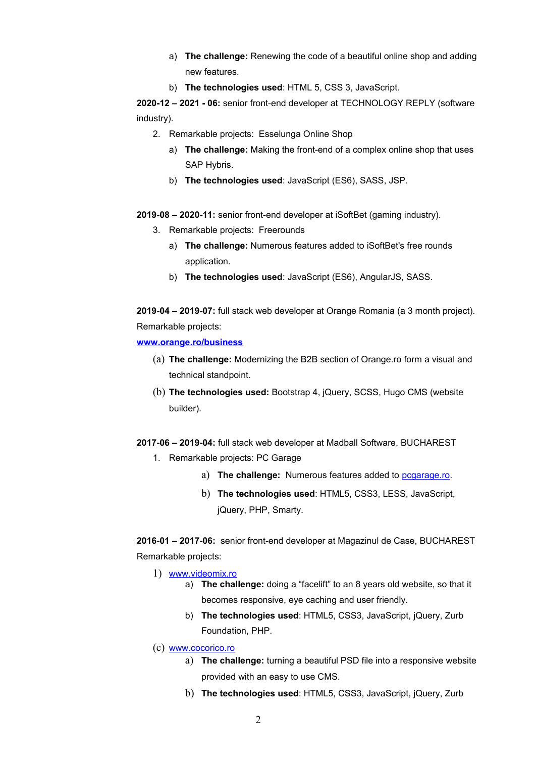- a) **The challenge:** Renewing the code of a beautiful online shop and adding new features.
- b) **The technologies used**: HTML 5, CSS 3, JavaScript.

**2020-12 – 2021 - 06:** senior front-end developer at TECHNOLOGY REPLY (software industry).

- 2. Remarkable projects: Esselunga Online Shop
	- a) **The challenge:** Making the front-end of a complex online shop that uses SAP Hybris.
	- b) **The technologies used**: JavaScript (ES6), SASS, JSP.

**2019-08 – 2020-11:** senior front-end developer at iSoftBet (gaming industry).

- 3. Remarkable projects: Freerounds
	- a) **The challenge:** Numerous features added to iSoftBet's free rounds application.
	- b) **The technologies used**: JavaScript (ES6), AngularJS, SASS.

**2019-04 – 2019-07:** full stack web developer at Orange Romania (a 3 month project). Remarkable projects:

**[www.orange.ro/business](https://www.orange.ro/business/)**

- (a) **The challenge:** Modernizing the B2B section of Orange.ro form a visual and technical standpoint.
- (b) **The technologies used:** Bootstrap 4, jQuery, SCSS, Hugo CMS (website builder).

**2017-06 – 2019-04:** full stack web developer at Madball Software, BUCHAREST

- 1. Remarkable projects: PC Garage
	- a) **The challenge:** Numerous features added to [pcgarage.ro.](https://www.pcgarage.ro/)
	- b) **The technologies used**: HTML5, CSS3, LESS, JavaScript, jQuery, PHP, Smarty.

**2016-01 – 2017-06:** senior front-end developer at Magazinul de Case, BUCHAREST Remarkable projects:

- 1) [www.videomix.ro](http://video.rol.ro/)
	- a) **The challenge:** doing a "facelift" to an 8 years old website, so that it becomes responsive, eye caching and user friendly.
	- b) **The technologies used**: HTML5, CSS3, JavaScript, jQuery, Zurb Foundation, PHP.
- (c) [www.cocorico.ro](https://cocorico.ro/?lang=en)
	- a) **The challenge:** turning a beautiful PSD file into a responsive website provided with an easy to use CMS.
	- b) **The technologies used**: HTML5, CSS3, JavaScript, jQuery, Zurb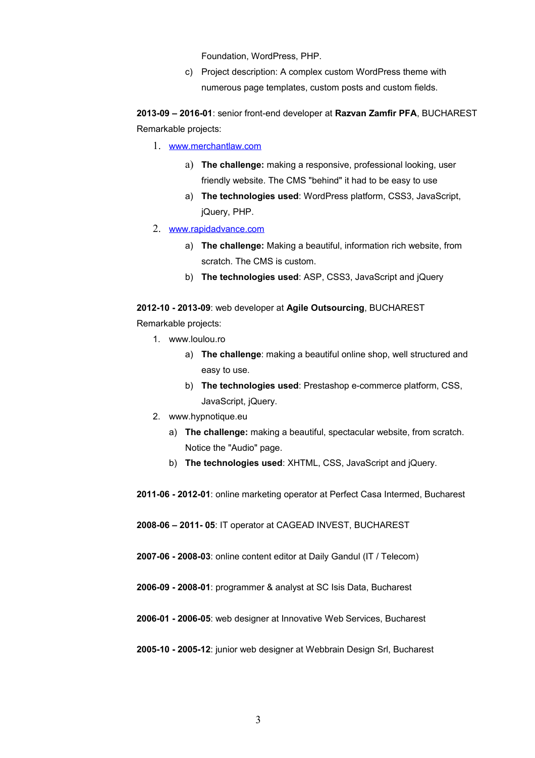Foundation, WordPress, PHP.

c) Project description: A complex custom WordPress theme with numerous page templates, custom posts and custom fields.

**2013-09 – 2016-01**: senior front-end developer at **Razvan Zamfir PFA**, BUCHAREST Remarkable projects:

- 1. [www.merchantlaw.com](https://www.merchantlaw.com/)
	- a) **The challenge:** making a responsive, professional looking, user friendly website. The CMS "behind" it had to be easy to use
	- a) **The technologies used**: WordPress platform, CSS3, JavaScript, jQuery, PHP.
- 2. [www.rapidadvance.com](http://www.rapidadvance.com/)
	- a) **The challenge:** Making a beautiful, information rich website, from scratch. The CMS is custom.
	- b) **The technologies used**: ASP, CSS3, JavaScript and jQuery

**2012-10 - 2013-09**: web developer at **Agile Outsourcing**, BUCHAREST Remarkable projects:

- 1. www.loulou.ro
	- a) **The challenge**: making a beautiful online shop, well structured and easy to use.
	- b) **The technologies used**: Prestashop e-commerce platform, CSS, JavaScript, jQuery.
- 2. www.hypnotique.eu
	- a) **The challenge:** making a beautiful, spectacular website, from scratch. Notice the "Audio" page.
	- b) **The technologies used**: XHTML, CSS, JavaScript and jQuery.

**2011-06 - 2012-01**: online marketing operator at Perfect Casa Intermed, Bucharest

**2008-06 – 2011- 05**: IT operator at CAGEAD INVEST, BUCHAREST

**2007-06 - 2008-03**: online content editor at Daily Gandul (IT / Telecom)

**2006-09 - 2008-01**: programmer & analyst at SC Isis Data, Bucharest

**2006-01 - 2006-05**: web designer at Innovative Web Services, Bucharest

**2005-10 - 2005-12**: junior web designer at Webbrain Design Srl, Bucharest